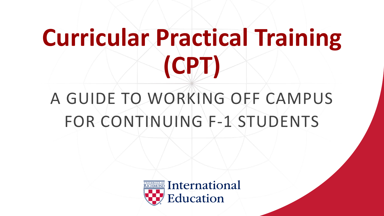## **Curricular Practical Training (CPT)**

### A GUIDE TO WORKING OFF CAMPUS FOR CONTINUING F-1 STUDENTS

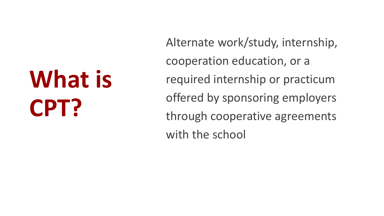# **What is CPT?**

Alternate work/study, internship, cooperation education, or a required internship or practicum offered by sponsoring employers through cooperative agreements with the school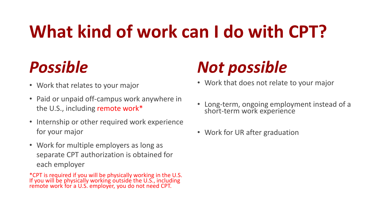### **What kind of work can I do with CPT?**

### *Possible*

- Work that relates to your major
- Paid or unpaid off-campus work anywhere in the U.S., including remote work\*
- Internship or other required work experience for your major
- Work for multiple employers as long as separate CPT authorization is obtained for each employer

\*CPT is required if you will be physically working in the U.S. If you will be physically working outside the U.S., including remote work for a U.S. employer, you do not need CPT.

### *Not possible*

- Work that does not relate to your major
- Long-term, ongoing employment instead of a short-term work experience
- Work for UR after graduation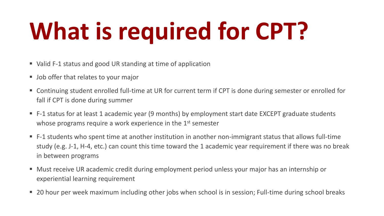# **What is required for CPT?**

- Valid F-1 status and good UR standing at time of application
- **Job offer that relates to your major**
- Continuing student enrolled full-time at UR for current term if CPT is done during semester or enrolled for fall if CPT is done during summer
- F-1 status for at least 1 academic year (9 months) by employment start date EXCEPT graduate students whose programs require a work experience in the 1<sup>st</sup> semester
- F-1 students who spent time at another institution in another non-immigrant status that allows full-time study (e.g. J-1, H-4, etc.) can count this time toward the 1 academic year requirement if there was no break in between programs
- Must receive UR academic credit during employment period unless your major has an internship or experiential learning requirement
- **20 hour per week maximum including other jobs when school is in session; Full-time during school breaks**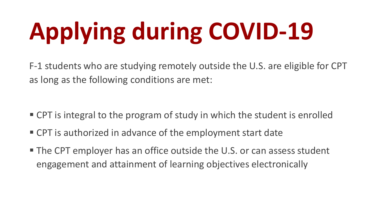# **Applying during COVID-19**

F-1 students who are studying remotely outside the U.S. are eligible for CPT as long as the following conditions are met:

- CPT is integral to the program of study in which the student is enrolled
- CPT is authorized in advance of the employment start date
- The CPT employer has an office outside the U.S. or can assess student engagement and attainment of learning objectives electronically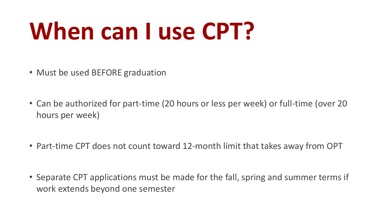## **When can I use CPT?**

- Must be used BEFORE graduation
- Can be authorized for part-time (20 hours or less per week) or full-time (over 20 hours per week)
- Part-time CPT does not count toward 12-month limit that takes away from OPT
- Separate CPT applications must be made for the fall, spring and summer terms if work extends beyond one semester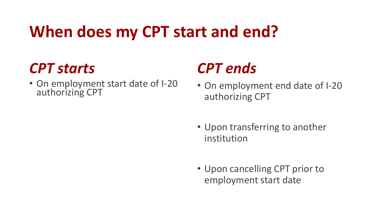### **When does my CPT start and end?**

#### *CPT starts*

• On employment start date of I-20 authorizing CPT

#### *CPT ends*

- On employment end date of I-20 authorizing CPT
- Upon transferring to another institution
- Upon cancelling CPT prior to employment start date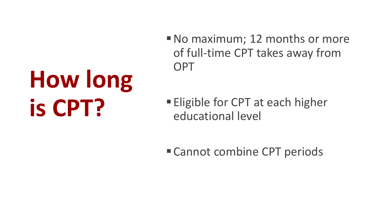# **How long is CPT?**

No maximum; 12 months or more of full-time CPT takes away from **OPT** 

**Eligible for CPT at each higher** educational level

■ Cannot combine CPT periods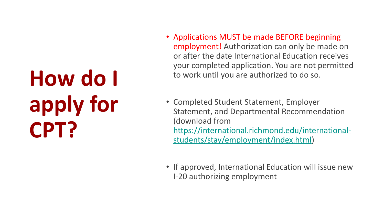## **How do I apply for CPT?**

- Applications MUST be made BEFORE beginning employment! Authorization can only be made on or after the date International Education receives your completed application. You are not permitted to work until you are authorized to do so.
- Completed Student Statement, Employer Statement, and Departmental Recommendation (download from [https://international.richmond.edu/international](https://international.richmond.edu/international-students/stay/employment/index.html)students/stay/employment/index.html)
- If approved, International Education will issue new I-20 authorizing employment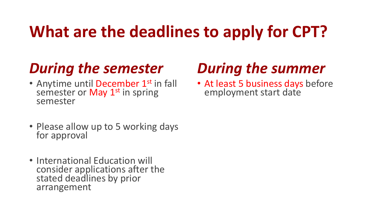### **What are the deadlines to apply for CPT?**

#### *During the semester*

- Anytime until December 1<sup>st</sup> in fall semester or May 1<sup>st</sup> in spring semester
- Please allow up to 5 working days for approval
- International Education will consider applications after the stated deadlines by prior arrangement

#### *During the summer*

• At least 5 business days before employment start date